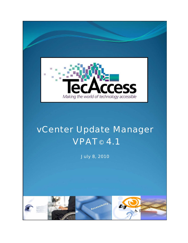

## vCenter Update Manager **VPAT<sup>®</sup> 4.1**

July 8, 2010

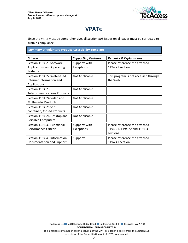I



## **VPAT**®

Since the VPAT must be comprehensive, all Section 508 issues on all pages must be corrected to sustain compliance.

**Summary of Voluntary Product Accessibility Template** 

| <b>Criteria</b>                                                          | <b>Supporting Features</b>  | <b>Remarks &amp; Explanations</b>                                          |
|--------------------------------------------------------------------------|-----------------------------|----------------------------------------------------------------------------|
| Section 1194.21 Software<br><b>Applications and Operating</b><br>Systems | Supports with<br>Exceptions | Please reference the attached<br>1194.21 section.                          |
| Section 1194.22 Web-based<br>Internet Information and<br>Applications    | Not Applicable              | This program is not accessed through<br>the Web.                           |
| Section 1194.23<br><b>Telecommunications Products</b>                    | Not Applicable              |                                                                            |
| Section 1194.24 Video and<br><b>Multimedia Products</b>                  | Not Applicable              |                                                                            |
| Section 1194.25 Self-<br>contained, Closed Products                      | Not Applicable              |                                                                            |
| Section 1194.26 Desktop and<br><b>Portable Computers</b>                 | Not Applicable              |                                                                            |
| Section 1194.31 Functional<br>Performance Criteria                       | Supports with<br>Exceptions | Please reference the attached<br>1194.21, 1194.22 and 1194.31<br>sections. |
| Section 1194.41 Information,<br>Documentation and Support                | Supports                    | Please reference the attached<br>1194.41 section.                          |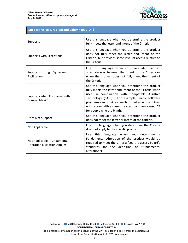

## **Supporting Features (Second Column on VPAT)**

| Supports                                                            | Use this language when you determine the product<br>fully meets the letter and intent of the Criteria.                                                                                                                                                                                                                                              |
|---------------------------------------------------------------------|-----------------------------------------------------------------------------------------------------------------------------------------------------------------------------------------------------------------------------------------------------------------------------------------------------------------------------------------------------|
| Supports with Exceptions                                            | Use this language when you determine the product<br>does not fully meet the letter and intent of the<br>Criteria, but provides some level of access relative to<br>the Criteria.                                                                                                                                                                    |
| Supports through Equivalent<br>Facilitation                         | Use this language when you have identified an<br>alternate way to meet the intent of the Criteria or<br>when the product does not fully meet the intent of<br>the Criteria.                                                                                                                                                                         |
| Supports when Combined with<br>Compatible AT                        | Use this language when you determine the product<br>fully meets the letter and intent of the Criteria when<br>used in combination with Compatible Assistive<br>Technology ("AT"). For example, many software<br>programs can provide speech output when combined<br>with a compatible screen reader (commonly used AT<br>for people who are blind). |
| Does Not Support                                                    | Use this language when you determine the product<br>does not meet the letter or intent of the Criteria.                                                                                                                                                                                                                                             |
| Not Applicable                                                      | Use this language when you determine the Criteria<br>does not apply to the specific product.                                                                                                                                                                                                                                                        |
| Not Applicable - Fundamental<br><b>Alteration Exception Applies</b> | language when you determine<br><b>Use</b><br>this<br>a<br>Fundamental Alteration of the product would be<br>required to meet the Criteria (see the access board's<br>definition of "fundamental<br>standards<br>for<br>the<br>alteration").                                                                                                         |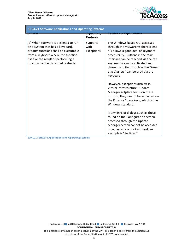Г



| 1194.21 Software Applications and Operating Systems                                                                                                                                                                                     |                                         |                                                                                                                                                                                                                                                                                                                                                                                                                                                                                                                                                                                                                                                                                                                                                      |  |
|-----------------------------------------------------------------------------------------------------------------------------------------------------------------------------------------------------------------------------------------|-----------------------------------------|------------------------------------------------------------------------------------------------------------------------------------------------------------------------------------------------------------------------------------------------------------------------------------------------------------------------------------------------------------------------------------------------------------------------------------------------------------------------------------------------------------------------------------------------------------------------------------------------------------------------------------------------------------------------------------------------------------------------------------------------------|--|
| जाप्याप                                                                                                                                                                                                                                 | <del>วนpportmy</del><br><b>Features</b> | <del>מכוווטו גא פא האווידוס</del>                                                                                                                                                                                                                                                                                                                                                                                                                                                                                                                                                                                                                                                                                                                    |  |
| (a) When software is designed to run<br>on a system that has a keyboard,<br>product functions shall be executable<br>from a keyboard where the function<br>itself or the result of performing a<br>function can be discerned textually. | Supports<br>with<br>Exceptions          | The Windows based GUI accessed<br>through the VMware vSphere client<br>4.1 allows a good deal of keyboard<br>accessibility. Buttons in the main<br>interface can be reached via the tab<br>key, menus can be activated and<br>chosen, and items such as the "Hosts<br>and Clusters" can be used via the<br>keyboard.<br>However, exceptions also exist.<br>Virtual Infrastructure - Update<br>Manager 4.1 place focus on these<br>buttons, they cannot be activated via<br>the Enter or Space keys, which is the<br>Windows standard.<br>Many links of dialogs such as those<br>found on the Configuration screen<br>accessed through the Update<br>Manager screen cannot be accessed<br>or activated via the keyboard; an<br>example is "Settings." |  |

1194.21 Software Applications and Operating Systems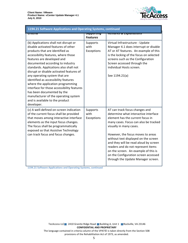

| 1194.21 Software Applications and Operating Systems, continued                                                                                                                                                                                                                                                                                                                                                                                                                                                                                                                                    |                                         |                                                                                                                                                                                                                                                                                                                                                                                                                                                                  |  |
|---------------------------------------------------------------------------------------------------------------------------------------------------------------------------------------------------------------------------------------------------------------------------------------------------------------------------------------------------------------------------------------------------------------------------------------------------------------------------------------------------------------------------------------------------------------------------------------------------|-----------------------------------------|------------------------------------------------------------------------------------------------------------------------------------------------------------------------------------------------------------------------------------------------------------------------------------------------------------------------------------------------------------------------------------------------------------------------------------------------------------------|--|
| जाप्ताप                                                                                                                                                                                                                                                                                                                                                                                                                                                                                                                                                                                           | <del>วนpportmy</del><br><b>Features</b> | <del>nemurks &amp; Explumations</del>                                                                                                                                                                                                                                                                                                                                                                                                                            |  |
| (b) Applications shall not disrupt or<br>disable activated features of other<br>products that are identified as<br>accessibility features, where those<br>features are developed and<br>documented according to industry<br>standards. Applications also shall not<br>disrupt or disable activated features of<br>any operating system that are<br>identified as accessibility features<br>where the application programming<br>interface for those accessibility features<br>has been documented by the<br>manufacturer of the operating system<br>and is available to the product<br>developer. | Supports<br>with<br>Exceptions          | Virtual Infrastructure - Update<br>Manager 4.1 does interrupt or disable<br>AT or AT features. An example of this<br>is the locking of the focus on selected<br>screens such as the Configuration<br>Screen accessed through the<br>individual Hosts screen.<br>See 1194.21(a)                                                                                                                                                                                   |  |
| (c) A well-defined on-screen indication<br>of the current focus shall be provided<br>that moves among interactive interface<br>elements as the input focus changes.<br>The focus shall be programmatically<br>exposed so that Assistive Technology<br>can track focus and focus changes.                                                                                                                                                                                                                                                                                                          | Supports<br>with<br>Exceptions          | AT can track focus changes and<br>determine what interactive interface<br>element has the current focus in<br>many cases. Focus can also be tracked<br>visually in many cases.<br>However, the focus moves to areas<br>without text displayed on the screen<br>and they will be read aloud by screen<br>readers and do not represent items<br>on the screen. An example of this is<br>on the Configuration screen accessed<br>through the Update Manager screen. |  |

1194.21 Software Applications and Operating Systems, continued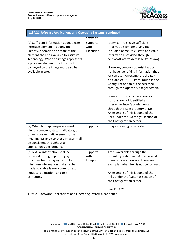

| 1194.21 Software Applications and Operating Systems, continued                                                                                                                                                                                                                                          |                                |                                                                                                                                                                                                                                                                                                                                                                                                                                                                                                                                                                                                                                                                                      |  |
|---------------------------------------------------------------------------------------------------------------------------------------------------------------------------------------------------------------------------------------------------------------------------------------------------------|--------------------------------|--------------------------------------------------------------------------------------------------------------------------------------------------------------------------------------------------------------------------------------------------------------------------------------------------------------------------------------------------------------------------------------------------------------------------------------------------------------------------------------------------------------------------------------------------------------------------------------------------------------------------------------------------------------------------------------|--|
|                                                                                                                                                                                                                                                                                                         | <b>Features</b>                |                                                                                                                                                                                                                                                                                                                                                                                                                                                                                                                                                                                                                                                                                      |  |
| (d) Sufficient information about a user<br>interface element including the<br>identity, operation and state of the<br>element shall be available to Assistive<br>Technology. When an image represents<br>a program element, the information<br>conveyed by the image must also be<br>available in text. | Supports<br>with<br>Exceptions | Many controls have sufficient<br>information for identifying them<br>including name, role, state and value<br>information provided through<br>Microsoft Active Accessibility (MSAA).<br>However, controls do exist that do<br>not have identifying information that<br>AT can use. An example is the Edit<br>box labeled "SOAP Port" found in the<br>Configuration tab of the accessed<br>through the Update Manager screen.<br>Some controls which are links or<br>buttons are not identified as<br>interactive interface elements<br>through the Role property of MSAA.<br>An example of this is some of the<br>links under the "Settings" section of<br>the Configuration screen. |  |
| (e) When bitmap images are used to<br>identify controls, status indicators, or<br>other programmatic elements, the<br>meaning assigned to those images shall<br>be consistent throughout an<br>application's performance.                                                                               | Supports                       | Image meaning is consistent.                                                                                                                                                                                                                                                                                                                                                                                                                                                                                                                                                                                                                                                         |  |
| (f) Textual information shall be<br>provided through operating system<br>functions for displaying text. The<br>minimum information that shall be<br>made available is text content, text<br>input caret location, and text<br>attributes.                                                               | Supports<br>with<br>Exceptions | Text is available through the<br>operating system and AT can read it<br>in many cases, however there are<br>examples when text is not being read.<br>An example of this is some of the<br>links under the "Settings section of<br>the Configuration screen.<br>See 1194.21(d)                                                                                                                                                                                                                                                                                                                                                                                                        |  |

1194.21 Software Applications and Operating Systems, continued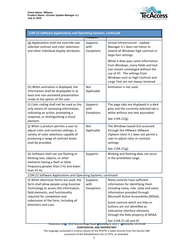

| 1194.21 Software Applications and Operating Systems, continued                                                                                                                                                                                                                                                                                                                 |                                                       |                                                                                                                                                                                                                                                                                                                                                                                                                  |  |
|--------------------------------------------------------------------------------------------------------------------------------------------------------------------------------------------------------------------------------------------------------------------------------------------------------------------------------------------------------------------------------|-------------------------------------------------------|------------------------------------------------------------------------------------------------------------------------------------------------------------------------------------------------------------------------------------------------------------------------------------------------------------------------------------------------------------------------------------------------------------------|--|
| (g) Applications shall not override user<br>selected contrast and color selections<br>and other individual display attributes.                                                                                                                                                                                                                                                 | <del>, cuture</del><br>Supports<br>with<br>Exceptions | Virtual Infrastructure - Update<br>Manager 4.1 does not honor or<br>extend all Windows high contrast or<br>large font settings.<br>While it does pass some information<br>from Windows, many fields and text<br>size remain unchanged without the<br>use of AT. The settings from<br>Windows such as High Contrast and<br>Large Text are not always honored.                                                     |  |
| (h) When animation is displayed, the<br>information shall be displayable in at<br>least one non-animated presentation<br>mode at the option of the user.                                                                                                                                                                                                                       | Not<br>Applicable                                     | Animation is not used.                                                                                                                                                                                                                                                                                                                                                                                           |  |
| (i) Color coding shall not be used as the<br>only means of conveying information,<br>indicating an action, prompting a<br>response, or distinguishing a visual<br>element.                                                                                                                                                                                                     | Supports<br>with<br>Exceptions                        | The page tabs are displayed in a dark<br>grey and the currently selected tab is<br>white without any text equivalent.<br>See 1194.21(g)                                                                                                                                                                                                                                                                          |  |
| (j) When a product permits a user to<br>adjust color and contrast settings, a<br>variety of color selections capable of<br>producing a range of contrast levels<br>shall be provided.                                                                                                                                                                                          | Not<br>Applicable                                     | The Windows based GUI accessed<br>through the VMware VMware<br>vSphere client 4.1 does not permit a<br>user to adjust color or contrast<br>settings.<br>See 1194.21(g)                                                                                                                                                                                                                                           |  |
| (k) Software shall not use flashing or<br>blinking text, objects, or other<br>elements having a flash or blink<br>frequency greater than 2 Hz and lower<br>than 55 Hz.                                                                                                                                                                                                         | Supports                                              | Blinking and flashing does not occur<br>in the prohibited range.                                                                                                                                                                                                                                                                                                                                                 |  |
| 1194.21 Software Applications and Operating Systems, continued<br>(I) When electronic forms are used, the<br>form shall allow people using Assistive<br>Technology to access the information,<br>field elements, and functionality<br>required for completion and<br>submission of the form, including all<br>directions and cues.<br>TecAccess LLC<br>2410 Granite Ridge Road | Supports<br>with<br>Exceptions                        | Many controls have sufficient<br>information for identifying them<br>including name, role, state and value<br>information provided through<br>Microsoft Active Accessibility (MSAA).<br>Some controls which are links or<br>buttons are not identified as<br>interactive interface elements<br>through the Role property of MSAA.<br>See 1194.21 (d) and (f)<br><b>Building A, Unit 1</b><br>Rockville, VA 23146 |  |

**CONFIDENTIAL AND PROPRIETARY** 

The language contained in criteria column of the VPAT© is taken directly from the Section 508 provisions of the Rehabilitation Act of 1973, as amended.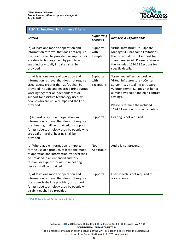

## 1194.31 Functional Performance Criteria

| <b>Criteria</b>                                                                                                                                                                                                                                                                                                                  | <b>Supporting</b><br><b>Features</b> | <b>Remarks &amp; Explanations</b>                                                                                                                                                                                                                                             |
|----------------------------------------------------------------------------------------------------------------------------------------------------------------------------------------------------------------------------------------------------------------------------------------------------------------------------------|--------------------------------------|-------------------------------------------------------------------------------------------------------------------------------------------------------------------------------------------------------------------------------------------------------------------------------|
| (a) At least one mode of operation and<br>information retrieval that does not require<br>user vision shall be provided, or support for<br>assistive technology used by people who<br>are blind or visually impaired shall be<br>provided.                                                                                        | Supports<br>with<br>Exceptions       | Virtual Infrastructure - Update<br>Manager 4.1 has some limitations<br>that do not allow full support for<br>screen reader AT. Please reference<br>the included 1194.21 Sections for<br>specific details.                                                                     |
| (b) At least one mode of operation and<br>information retrieval that does not require<br>visual acuity greater than 20/70 shall be<br>provided in audio and enlarged print output<br>working together or independently, or<br>support for assistive technology used by<br>people who are visually impaired shall be<br>provided. | Supports<br>with<br>Exceptions       | Screen magnifiers do work with<br>Virtual Infrastructure - vCenter<br>Server 4.1. Virtual Infrastructure -<br>vCenter Server 4.1 does not honor<br>all Windows color and high contrast<br>settings.<br>Please reference the included<br>1194.21 section for specific details. |
| (c) At least one mode of operation and<br>information retrieval that does not require<br>user hearing shall be provided, or support<br>for assistive technology used by people who<br>are deaf or hard of hearing shall be<br>provided.                                                                                          | Supports                             | Hearing is not required.                                                                                                                                                                                                                                                      |
| (d) Where audio information is important<br>for the use of a product, at least one mode<br>of operation and information retrieval shall<br>be provided in an enhanced auditory<br>fashion, or support for assistive hearing<br>devices shall be provided.                                                                        | Not<br>Applicable                    | Audio is not present.                                                                                                                                                                                                                                                         |
| (e) At least one mode of operation and<br>information retrieval that does not require<br>user speech shall be provided, or support<br>for assistive technology used by people with<br>disabilities shall be provided.                                                                                                            | Supports                             | User speech is not required to<br>access content.                                                                                                                                                                                                                             |

1194.31 Functional Performance Criteria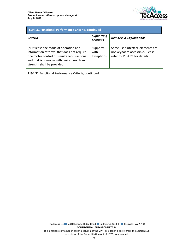

| 1194.31 Functional Performance Criteria, continued                                                                                                                                                                |                                      |                                                                                                      |  |
|-------------------------------------------------------------------------------------------------------------------------------------------------------------------------------------------------------------------|--------------------------------------|------------------------------------------------------------------------------------------------------|--|
| Criteria                                                                                                                                                                                                          | <b>Supporting</b><br><b>Features</b> | <b>Remarks &amp; Explanations</b>                                                                    |  |
| (f) At least one mode of operation and<br>information retrieval that does not require<br>fine motor control or simultaneous actions<br>and that is operable with limited reach and<br>strength shall be provided. | Supports<br>with<br>Exceptions       | Some user interface elements are<br>not keyboard accessible. Please<br>refer to 1194.21 for details. |  |

1194.31 Functional Performance Criteria, continued